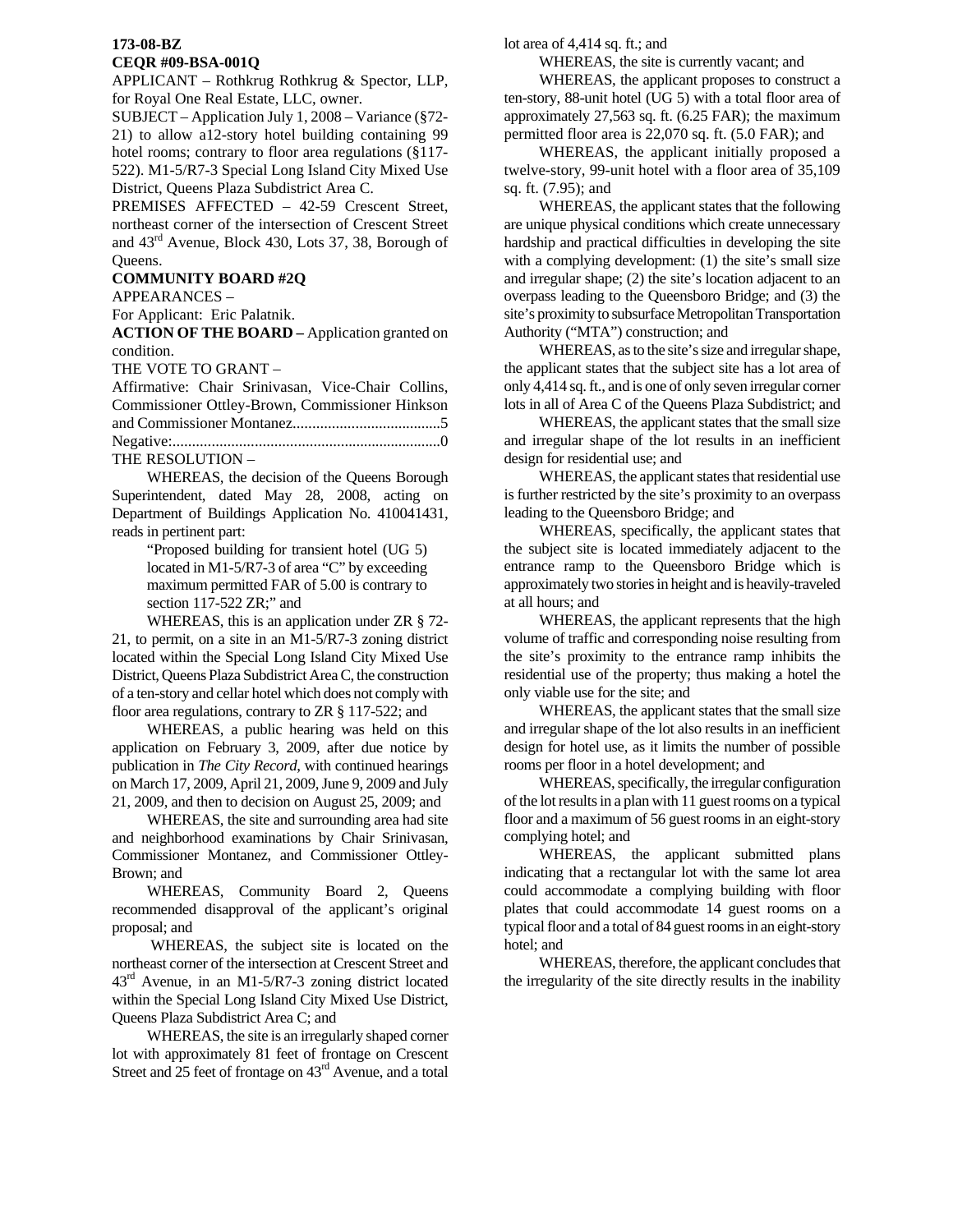## **173-08-BZ**

## **CEQR #09-BSA-001Q**

APPLICANT – Rothkrug Rothkrug & Spector, LLP, for Royal One Real Estate, LLC, owner.

SUBJECT – Application July 1, 2008 – Variance (§72- 21) to allow a12-story hotel building containing 99 hotel rooms; contrary to floor area regulations (§117- 522). M1-5/R7-3 Special Long Island City Mixed Use District, Queens Plaza Subdistrict Area C.

PREMISES AFFECTED – 42-59 Crescent Street, northeast corner of the intersection of Crescent Street and 43rd Avenue, Block 430, Lots 37, 38, Borough of Queens.

## **COMMUNITY BOARD #2Q**

APPEARANCES –

For Applicant: Eric Palatnik.

**ACTION OF THE BOARD –** Application granted on condition.

THE VOTE TO GRANT –

Affirmative: Chair Srinivasan, Vice-Chair Collins, Commissioner Ottley-Brown, Commissioner Hinkson and Commissioner Montanez......................................5 Negative:.....................................................................0

THE RESOLUTION –

 WHEREAS, the decision of the Queens Borough Superintendent, dated May 28, 2008, acting on Department of Buildings Application No. 410041431, reads in pertinent part:

> "Proposed building for transient hotel (UG 5) located in M1-5/R7-3 of area "C" by exceeding maximum permitted FAR of 5.00 is contrary to section 117-522 ZR;" and

 WHEREAS, this is an application under ZR § 72- 21, to permit, on a site in an M1-5/R7-3 zoning district located within the Special Long Island City Mixed Use District, Queens Plaza Subdistrict Area C, the construction of a ten-story and cellar hotel which does not comply with floor area regulations, contrary to ZR § 117-522; and

 WHEREAS, a public hearing was held on this application on February 3, 2009, after due notice by publication in *The City Record*, with continued hearings on March 17, 2009, April 21, 2009, June 9, 2009 and July 21, 2009, and then to decision on August 25, 2009; and

 WHEREAS, the site and surrounding area had site and neighborhood examinations by Chair Srinivasan, Commissioner Montanez, and Commissioner Ottley-Brown; and

 WHEREAS, Community Board 2, Queens recommended disapproval of the applicant's original proposal; and

 WHEREAS, the subject site is located on the northeast corner of the intersection at Crescent Street and  $43<sup>rd</sup>$  Avenue, in an M1-5/R7-3 zoning district located within the Special Long Island City Mixed Use District, Queens Plaza Subdistrict Area C; and

 WHEREAS, the site is an irregularly shaped corner lot with approximately 81 feet of frontage on Crescent Street and 25 feet of frontage on 43<sup>rd</sup> Avenue, and a total lot area of 4,414 sq. ft.; and

WHEREAS, the site is currently vacant; and

 WHEREAS, the applicant proposes to construct a ten-story, 88-unit hotel (UG 5) with a total floor area of approximately 27,563 sq. ft. (6.25 FAR); the maximum permitted floor area is 22,070 sq. ft. (5.0 FAR); and

twelve-story, 99-unit hotel with a floor area of 35,109 WHEREAS, the applicant initially proposed a sq. ft. (7.95); and

site's proximity to subsurface Metropolitan Transportation WHEREAS, the applicant states that the following are unique physical conditions which create unnecessary hardship and practical difficulties in developing the site with a complying development: (1) the site's small size and irregular shape; (2) the site's location adjacent to an overpass leading to the Queensboro Bridge; and (3) the Authority ("MTA") construction; and

 WHEREAS, as to the site's size and irregular shape, the applicant states that the subject site has a lot area of only 4,414 sq. ft., and is one of only seven irregular corner lots in all of Area C of the Queens Plaza Subdistrict; and

and irregular shape of the lot results in an inefficient WHEREAS, the applicant states that the small size design for residential use; and

 WHEREAS, the applicant states that residential use is further restricted by the site's proximity to an overpass leading to the Queensboro Bridge; and

approximately two stories in height and is heavily-traveled WHEREAS, specifically, the applicant states that the subject site is located immediately adjacent to the entrance ramp to the Queensboro Bridge which is at all hours; and

residential use of the property; thus making a hotel the WHEREAS, the applicant represents that the high volume of traffic and corresponding noise resulting from the site's proximity to the entrance ramp inhibits the only viable use for the site; and

design for hotel use, as it limits the number of possible rooms per floor in a hotel development; and WHEREAS, the applicant states that the small size and irregular shape of the lot also results in an inefficient

floor and a maximum of 56 guest rooms in an eight-story complying hotel; and WHEREAS, specifically, the irregular configuration of the lot results in a plan with 11 guest rooms on a typical

typical floor and a total of 84 guest rooms in an eight-story WHEREAS, the applicant submitted plans indicating that a rectangular lot with the same lot area could accommodate a complying building with floor plates that could accommodate 14 guest rooms on a hotel; and

the irregularity of the site directly results in the inability WHEREAS, therefore, the applicant concludes that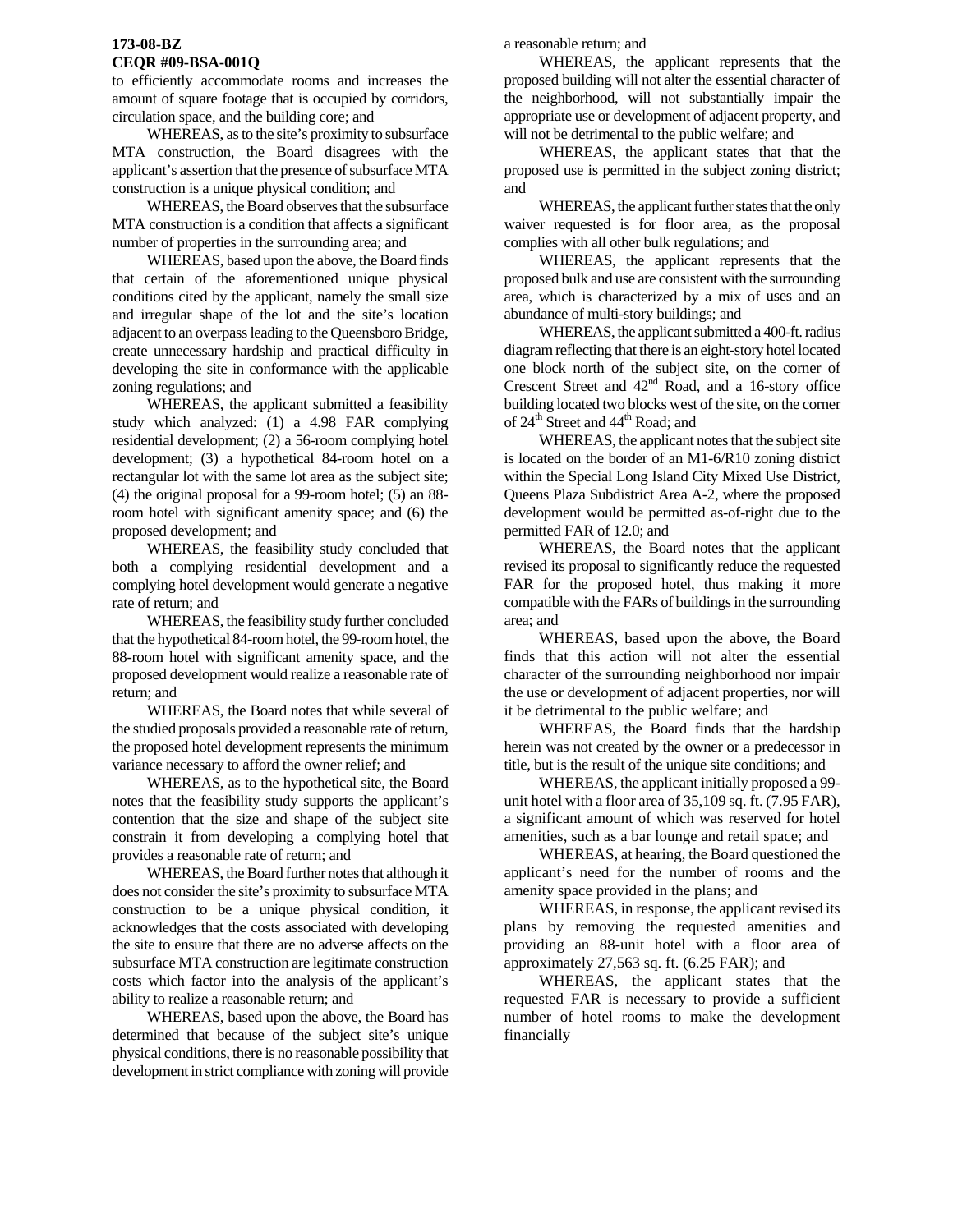#### **173-08-BZ CEQR #09-BSA-001Q**

to efficiently accommodate rooms and increases the amount of square footage that is occupied by corridors, circulation space, and the building core; and

WHEREAS, as to the site's proximity to subsurface MTA construction, the Board disagrees with the applicant's assertion that the presence of subsurface MTA construction is a unique physical condition; and

 WHEREAS, the Board observes that the subsurface MTA construction is a condition that affects a significant number of properties in the surrounding area; and

 WHEREAS, based upon the above, the Board finds that certain of the aforementioned unique physical conditions cited by the applicant, namely the small size and irregular shape of the lot and the site's location adjacent to an overpass leading to the Queensboro Bridge, create unnecessary hardship and practical difficulty in developing the site in conformance with the applicable zoning regulations; and

 WHEREAS, the applicant submitted a feasibility study which analyzed: (1) a 4.98 FAR complying residential development; (2) a 56-room complying hotel development; (3) a hypothetical 84-room hotel on a rectangular lot with the same lot area as the subject site; (4) the original proposal for a 99-room hotel; (5) an 88 room hotel with significant amenity space; and (6) the proposed development; and

 WHEREAS, the feasibility study concluded that both a complying residential development and a complying hotel development would generate a negative rate of return; and

 WHEREAS, the feasibility study further concluded that the hypothetical 84-room hotel, the 99-room hotel, the 88-room hotel with significant amenity space, and the proposed development would realize a reasonable rate of return; and

 WHEREAS, the Board notes that while several of the studied proposals provided a reasonable rate of return, the proposed hotel development represents the minimum variance necessary to afford the owner relief; and

 WHEREAS, as to the hypothetical site, the Board notes that the feasibility study supports the applicant's contention that the size and shape of the subject site constrain it from developing a complying hotel that provides a reasonable rate of return; and

 WHEREAS, the Board further notes that although it does not consider the site's proximity to subsurface MTA construction to be a unique physical condition, it acknowledges that the costs associated with developing the site to ensure that there are no adverse affects on the subsurface MTA construction are legitimate construction costs which factor into the analysis of the applicant's ability to realize a reasonable return; and

 WHEREAS, based upon the above, the Board has determined that because of the subject site's unique physical conditions, there is no reasonable possibility that development in strict compliance with zoning will provide a reasonable return; and

 WHEREAS, the applicant represents that the proposed building will not alter the essential character of the neighborhood, will not substantially impair the appropriate use or development of adjacent property, and will not be detrimental to the public welfare; and

 WHEREAS, the applicant states that that the proposed use is permitted in the subject zoning district; and

waiver requested is for floor area, as the proposal complies with all other bulk regulations; and WHEREAS, the applicant further states that the only

area, which is characterized by a mix of uses and an WHEREAS, the applicant represents that the proposed bulk and use are consistent with the surrounding abundance of multi-story buildings; and

building located two blocks west of the site, on the corner building located two blocks west o<br>of 24<sup>th</sup> Street and 44<sup>th</sup> Road; and WHEREAS, the applicant submitted a 400-ft. radius diagram reflecting that there is an eight-story hotel located one block north of the subject site, on the corner of Crescent Street and  $42<sup>nd</sup>$  Road, and a 16-story office

development would be permitted as-of-right due to the permitted FAR of 12.0; and WHEREAS, the applicant notes that the subject site is located on the border of an M1-6/R10 zoning district within the Special Long Island City Mixed Use District, Queens Plaza Subdistrict Area A-2, where the proposed

compatible with the FARs of buildings in the surrounding WHEREAS, the Board notes that the applicant revised its proposal to significantly reduce the requested FAR for the proposed hotel, thus making it more area; and

the use or development of adjacent properties, nor will WHEREAS, based upon the above, the Board finds that this action will not alter the essential character of the surrounding neighborhood nor impair it be detrimental to the public welfare; and

 WHEREAS, the Board finds that the hardship herein was not created by the owner or a predecessor in title, but is the result of the unique site conditions; and

a significant amount of which was reserved for hotel amenities, such as a bar lounge and retail space; and WHEREAS, the applicant initially proposed a 99 unit hotel with a floor area of 35,109 sq. ft. (7.95 FAR),

applicant's need for the number of rooms and the amenity space provided in the plans; and WHEREAS, at hearing, the Board questioned the

providing an 88-unit hotel with a floor area of appro ximately 27,563 sq. ft. (6.25 FAR); and WHEREAS, in response, the applicant revised its plans by removing the requested amenities and

number of hotel rooms to make the development financially WHEREAS, the applicant states that the requested FAR is necessary to provide a sufficient